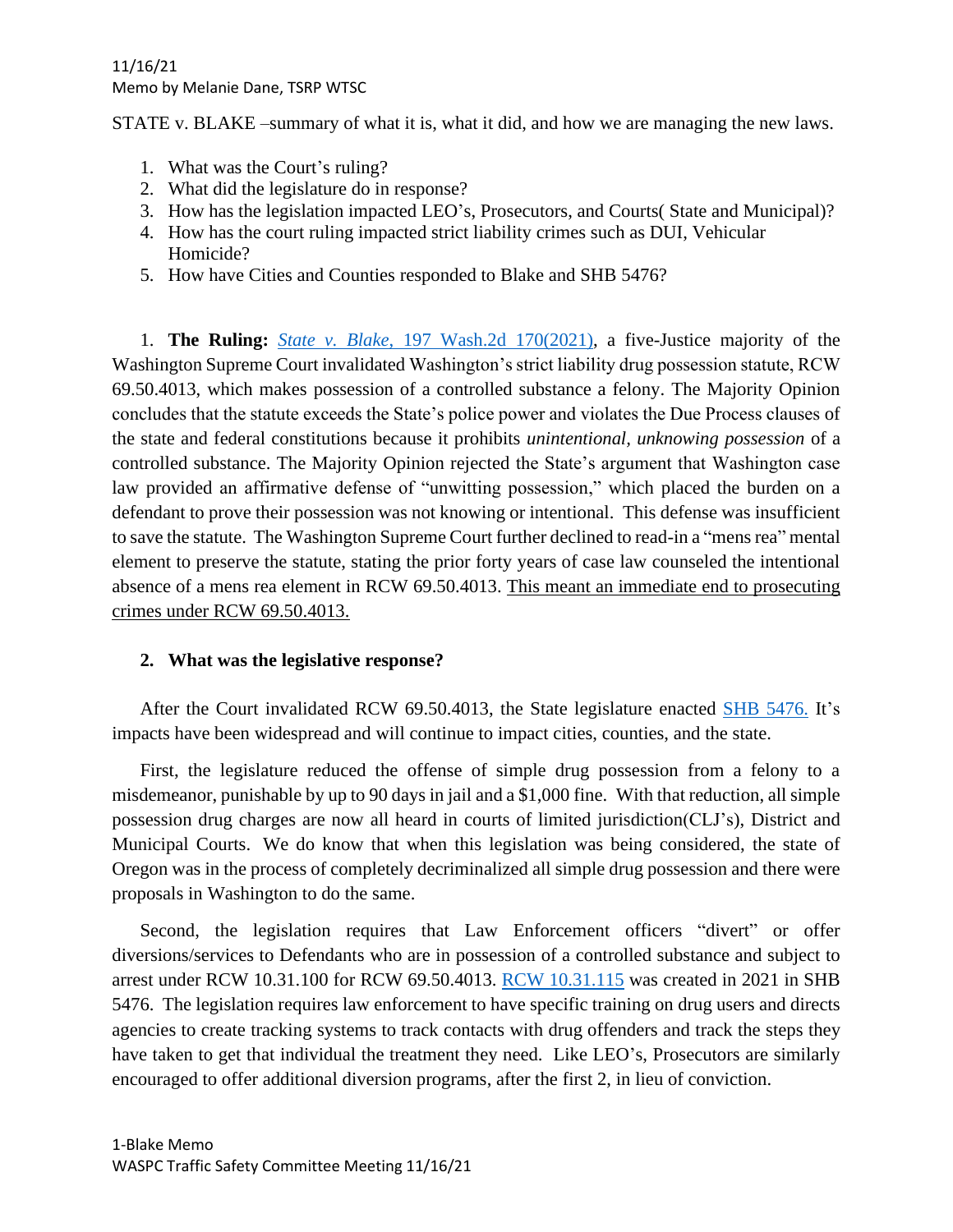STATE v. BLAKE –summary of what it is, what it did, and how we are managing the new laws.

- 1. What was the Court's ruling?
- 2. What did the legislature do in response?
- 3. How has the legislation impacted LEO's, Prosecutors, and Courts( State and Municipal)?
- 4. How has the court ruling impacted strict liability crimes such as DUI, Vehicular Homicide?
- 5. How have Cities and Counties responded to Blake and SHB 5476?

1. **The Ruling:** *State v. Blake*[, 197 Wash.2d 170\(2021\),](https://www.courts.wa.gov/opinions/pdf/968730.pdf) a five-Justice majority of the Washington Supreme Court invalidated Washington's strict liability drug possession statute, RCW 69.50.4013, which makes possession of a controlled substance a felony. The Majority Opinion concludes that the statute exceeds the State's police power and violates the Due Process clauses of the state and federal constitutions because it prohibits *unintentional, unknowing possession* of a controlled substance. The Majority Opinion rejected the State's argument that Washington case law provided an affirmative defense of "unwitting possession," which placed the burden on a defendant to prove their possession was not knowing or intentional. This defense was insufficient to save the statute. The Washington Supreme Court further declined to read-in a "mens rea" mental element to preserve the statute, stating the prior forty years of case law counseled the intentional absence of a mens rea element in RCW 69.50.4013. This meant an immediate end to prosecuting crimes under RCW 69.50.4013.

## **2. What was the legislative response?**

After the Court invalidated RCW 69.50.4013, the State legislature enacted [SHB 5476.](https://lawfilesext.leg.wa.gov/biennium/2021-22/Pdf/Bills/Session%20Laws/Senate/5476.SL.pdf?q=20211114161529) It's impacts have been widespread and will continue to impact cities, counties, and the state.

First, the legislature reduced the offense of simple drug possession from a felony to a misdemeanor, punishable by up to 90 days in jail and a \$1,000 fine. With that reduction, all simple possession drug charges are now all heard in courts of limited jurisdiction(CLJ's), District and Municipal Courts. We do know that when this legislation was being considered, the state of Oregon was in the process of completely decriminalized all simple drug possession and there were proposals in Washington to do the same.

Second, the legislation requires that Law Enforcement officers "divert" or offer diversions/services to Defendants who are in possession of a controlled substance and subject to arrest under RCW 10.31.100 for RCW 69.50.4013. [RCW 10.31.115](https://app.leg.wa.gov/RCW/default.aspx?cite=10.31.115) was created in 2021 in SHB 5476. The legislation requires law enforcement to have specific training on drug users and directs agencies to create tracking systems to track contacts with drug offenders and track the steps they have taken to get that individual the treatment they need. Like LEO's, Prosecutors are similarly encouraged to offer additional diversion programs, after the first 2, in lieu of conviction.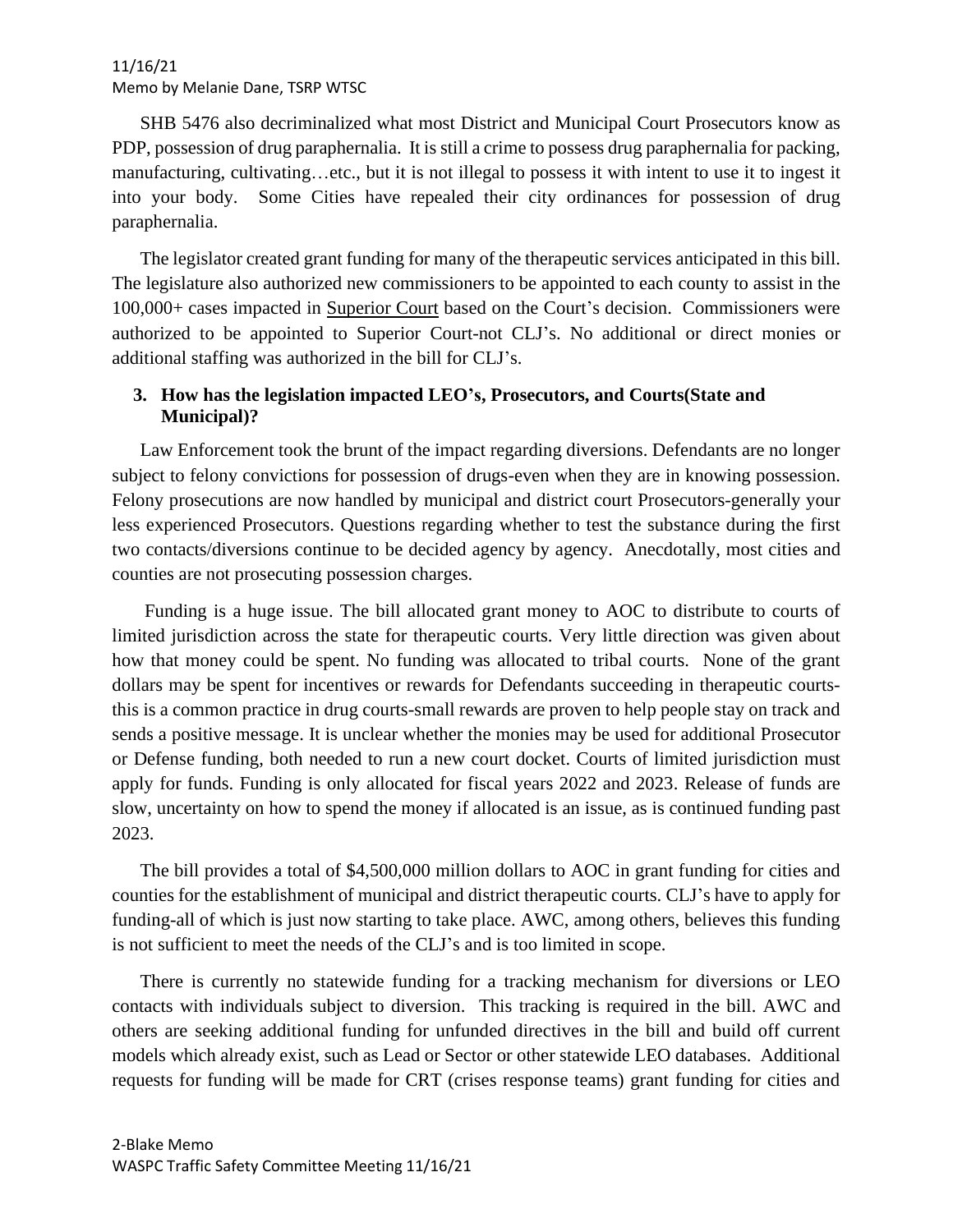SHB 5476 also decriminalized what most District and Municipal Court Prosecutors know as PDP, possession of drug paraphernalia. It is still a crime to possess drug paraphernalia for packing, manufacturing, cultivating…etc., but it is not illegal to possess it with intent to use it to ingest it into your body. Some Cities have repealed their city ordinances for possession of drug paraphernalia.

The legislator created grant funding for many of the therapeutic services anticipated in this bill. The legislature also authorized new commissioners to be appointed to each county to assist in the 100,000+ cases impacted in Superior Court based on the Court's decision. Commissioners were authorized to be appointed to Superior Court-not CLJ's. No additional or direct monies or additional staffing was authorized in the bill for CLJ's.

## **3. How has the legislation impacted LEO's, Prosecutors, and Courts(State and Municipal)?**

Law Enforcement took the brunt of the impact regarding diversions. Defendants are no longer subject to felony convictions for possession of drugs-even when they are in knowing possession. Felony prosecutions are now handled by municipal and district court Prosecutors-generally your less experienced Prosecutors. Questions regarding whether to test the substance during the first two contacts/diversions continue to be decided agency by agency. Anecdotally, most cities and counties are not prosecuting possession charges.

Funding is a huge issue. The bill allocated grant money to AOC to distribute to courts of limited jurisdiction across the state for therapeutic courts. Very little direction was given about how that money could be spent. No funding was allocated to tribal courts. None of the grant dollars may be spent for incentives or rewards for Defendants succeeding in therapeutic courtsthis is a common practice in drug courts-small rewards are proven to help people stay on track and sends a positive message. It is unclear whether the monies may be used for additional Prosecutor or Defense funding, both needed to run a new court docket. Courts of limited jurisdiction must apply for funds. Funding is only allocated for fiscal years 2022 and 2023. Release of funds are slow, uncertainty on how to spend the money if allocated is an issue, as is continued funding past 2023.

The bill provides a total of \$4,500,000 million dollars to AOC in grant funding for cities and counties for the establishment of municipal and district therapeutic courts. CLJ's have to apply for funding-all of which is just now starting to take place. AWC, among others, believes this funding is not sufficient to meet the needs of the CLJ's and is too limited in scope.

There is currently no statewide funding for a tracking mechanism for diversions or LEO contacts with individuals subject to diversion. This tracking is required in the bill. AWC and others are seeking additional funding for unfunded directives in the bill and build off current models which already exist, such as Lead or Sector or other statewide LEO databases. Additional requests for funding will be made for CRT (crises response teams) grant funding for cities and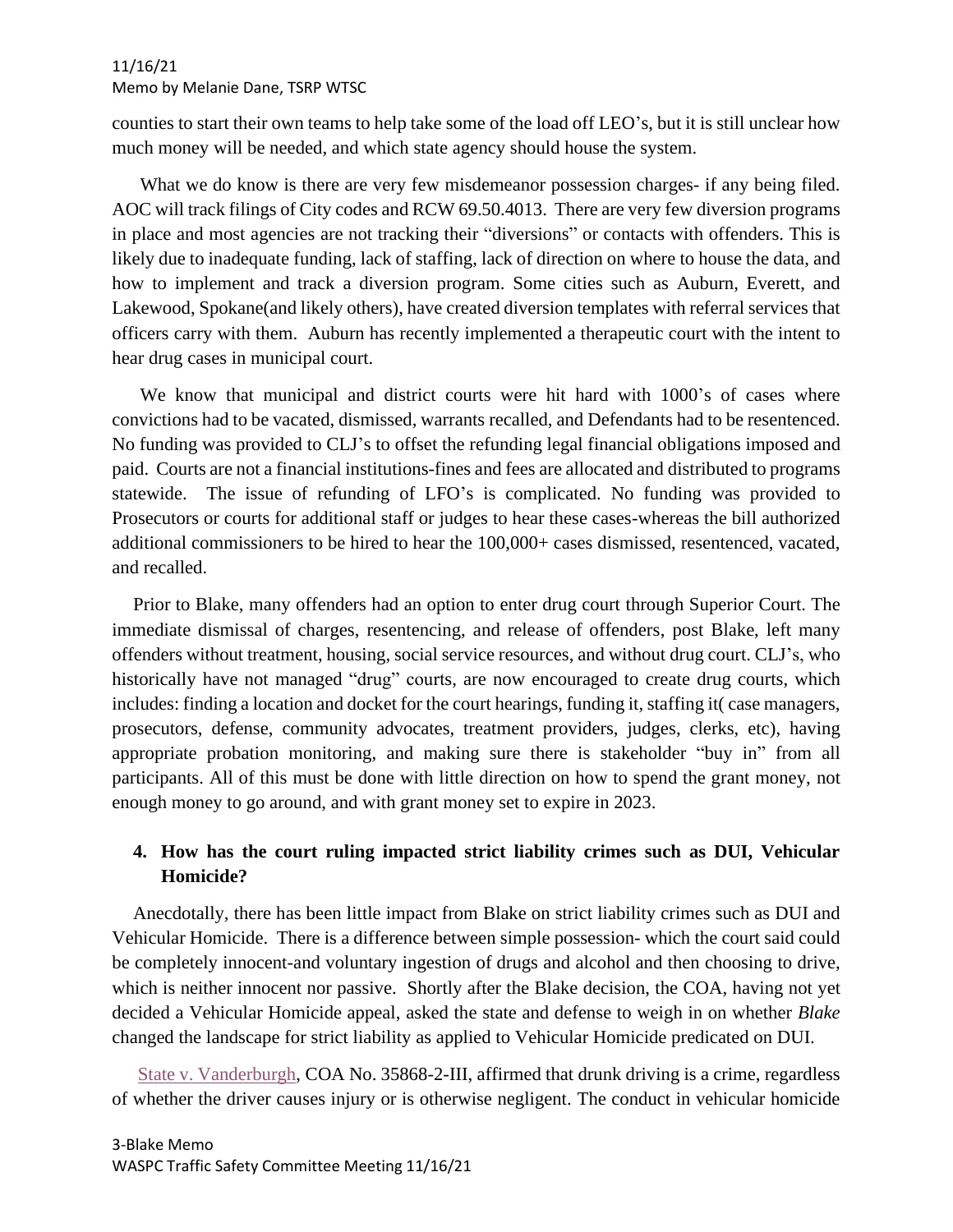counties to start their own teams to help take some of the load off LEO's, but it is still unclear how much money will be needed, and which state agency should house the system.

What we do know is there are very few misdemeanor possession charges- if any being filed. AOC will track filings of City codes and RCW 69.50.4013. There are very few diversion programs in place and most agencies are not tracking their "diversions" or contacts with offenders. This is likely due to inadequate funding, lack of staffing, lack of direction on where to house the data, and how to implement and track a diversion program. Some cities such as Auburn, Everett, and Lakewood, Spokane(and likely others), have created diversion templates with referral services that officers carry with them. Auburn has recently implemented a therapeutic court with the intent to hear drug cases in municipal court.

We know that municipal and district courts were hit hard with 1000's of cases where convictions had to be vacated, dismissed, warrants recalled, and Defendants had to be resentenced. No funding was provided to CLJ's to offset the refunding legal financial obligations imposed and paid. Courts are not a financial institutions-fines and fees are allocated and distributed to programs statewide. The issue of refunding of LFO's is complicated. No funding was provided to Prosecutors or courts for additional staff or judges to hear these cases-whereas the bill authorized additional commissioners to be hired to hear the 100,000+ cases dismissed, resentenced, vacated, and recalled.

Prior to Blake, many offenders had an option to enter drug court through Superior Court. The immediate dismissal of charges, resentencing, and release of offenders, post Blake, left many offenders without treatment, housing, social service resources, and without drug court. CLJ's, who historically have not managed "drug" courts, are now encouraged to create drug courts, which includes: finding a location and docket for the court hearings, funding it, staffing it( case managers, prosecutors, defense, community advocates, treatment providers, judges, clerks, etc), having appropriate probation monitoring, and making sure there is stakeholder "buy in" from all participants. All of this must be done with little direction on how to spend the grant money, not enough money to go around, and with grant money set to expire in 2023.

# **4. How has the court ruling impacted strict liability crimes such as DUI, Vehicular Homicide?**

Anecdotally, there has been little impact from Blake on strict liability crimes such as DUI and Vehicular Homicide. There is a difference between simple possession- which the court said could be completely innocent-and voluntary ingestion of drugs and alcohol and then choosing to drive, which is neither innocent nor passive. Shortly after the Blake decision, the COA, having not yet decided a Vehicular Homicide appeal, asked the state and defense to weigh in on whether *Blake* changed the landscape for strict liability as applied to Vehicular Homicide predicated on DUI.

[State v. Vanderburgh,](https://www.courts.wa.gov/opinions/pdf/358682_pub.pdf) COA No. 35868-2-III, affirmed that drunk driving is a crime, regardless of whether the driver causes injury or is otherwise negligent. The conduct in vehicular homicide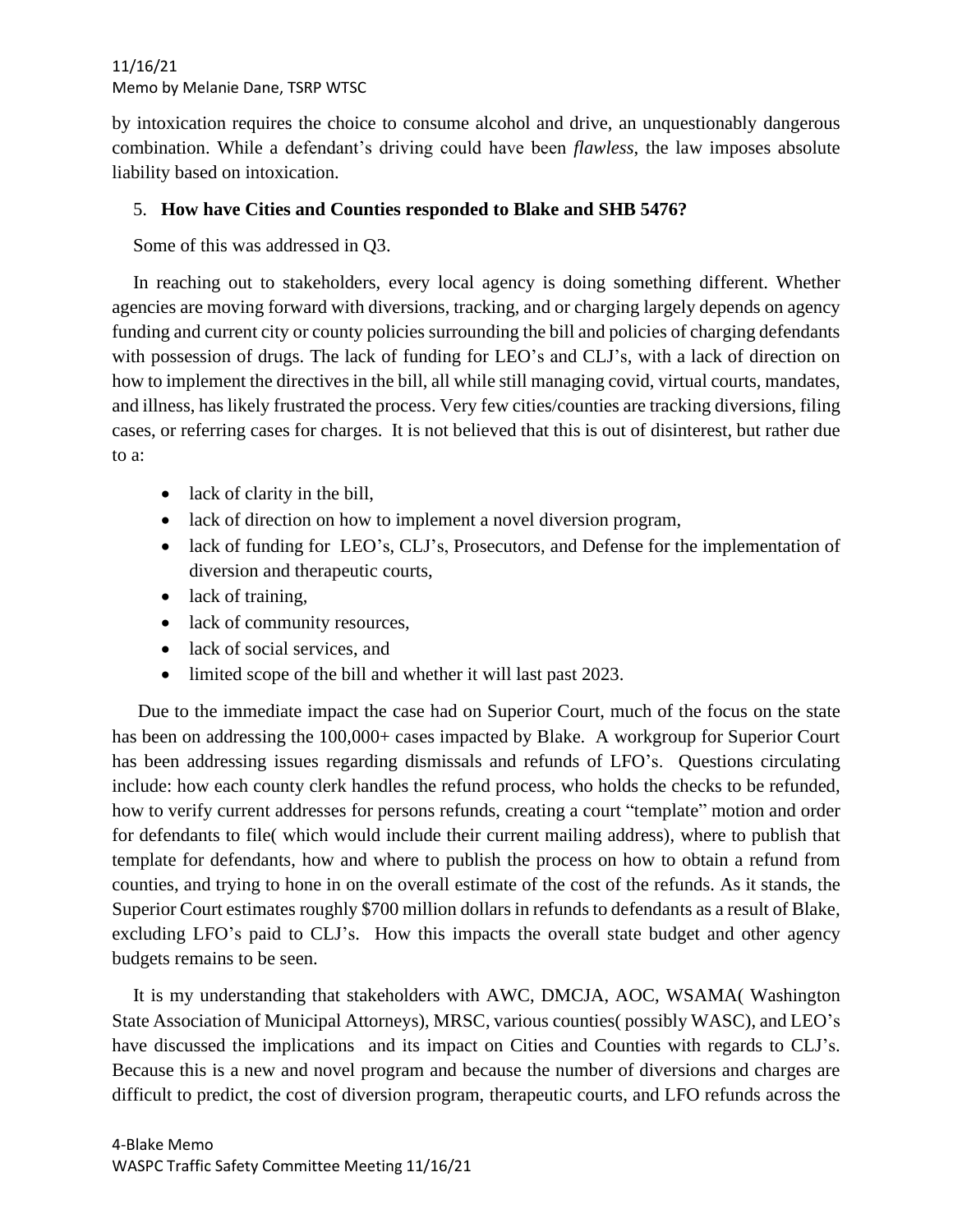by intoxication requires the choice to consume alcohol and drive, an unquestionably dangerous combination. While a defendant's driving could have been *flawless*, the law imposes absolute liability based on intoxication.

# 5. **How have Cities and Counties responded to Blake and SHB 5476?**

Some of this was addressed in Q3.

In reaching out to stakeholders, every local agency is doing something different. Whether agencies are moving forward with diversions, tracking, and or charging largely depends on agency funding and current city or county policies surrounding the bill and policies of charging defendants with possession of drugs. The lack of funding for LEO's and CLJ's, with a lack of direction on how to implement the directives in the bill, all while still managing covid, virtual courts, mandates, and illness, has likely frustrated the process. Very few cities/counties are tracking diversions, filing cases, or referring cases for charges. It is not believed that this is out of disinterest, but rather due to a:

- lack of clarity in the bill,
- lack of direction on how to implement a novel diversion program,
- lack of funding for LEO's, CLJ's, Prosecutors, and Defense for the implementation of diversion and therapeutic courts,
- lack of training,
- lack of community resources,
- lack of social services, and
- limited scope of the bill and whether it will last past 2023.

Due to the immediate impact the case had on Superior Court, much of the focus on the state has been on addressing the 100,000+ cases impacted by Blake. A workgroup for Superior Court has been addressing issues regarding dismissals and refunds of LFO's. Questions circulating include: how each county clerk handles the refund process, who holds the checks to be refunded, how to verify current addresses for persons refunds, creating a court "template" motion and order for defendants to file( which would include their current mailing address), where to publish that template for defendants, how and where to publish the process on how to obtain a refund from counties, and trying to hone in on the overall estimate of the cost of the refunds. As it stands, the Superior Court estimates roughly \$700 million dollars in refunds to defendants as a result of Blake, excluding LFO's paid to CLJ's. How this impacts the overall state budget and other agency budgets remains to be seen.

It is my understanding that stakeholders with AWC, DMCJA, AOC, WSAMA( Washington State Association of Municipal Attorneys), MRSC, various counties( possibly WASC), and LEO's have discussed the implications and its impact on Cities and Counties with regards to CLJ's. Because this is a new and novel program and because the number of diversions and charges are difficult to predict, the cost of diversion program, therapeutic courts, and LFO refunds across the